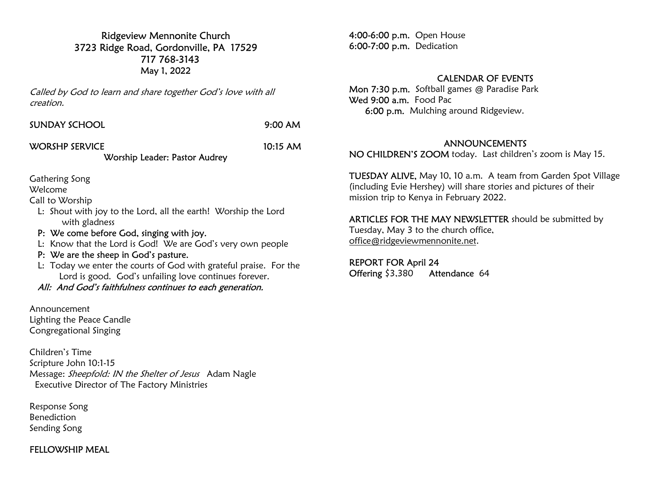Ridgeview Mennonite Church 3723 Ridge Road, Gordonville, PA 17529 717 768-3143 May 1, 2022

Called by God to learn and share together God's love with all creation.

| <b>SUNDAY SCHOOL</b> | $9:00$ AM |
|----------------------|-----------|
|                      |           |

## WORSHP SERVICE 10:15 AM

Worship Leader: Pastor Audrey

Gathering Song

Welcome

Call to Worship

- L: Shout with joy to the Lord, all the earth! Worship the Lord with gladness
- P: We come before God, singing with joy.
- L: Know that the Lord is God! We are God's very own people
- P: We are the sheep in God's pasture.
- L: Today we enter the courts of God with grateful praise. For the Lord is good. God's unfailing love continues forever.
- All: And God's faithfulness continues to each generation.

Announcement Lighting the Peace Candle Congregational Singing

Children's Time Scripture John 10:1-15 Message: Sheepfold: IN the Shelter of Jesus Adam Nagle Executive Director of The Factory Ministries

Response Song Benediction Sending Song

### FELLOWSHIP MEAL

4:00-6:00 p.m. Open House 6:00-7:00 p.m. Dedication

## CALENDAR OF EVENTS

Mon 7:30 p.m. Softball games @ Paradise Park Wed 9:00 a.m. Food Pac 6:00 p.m. Mulching around Ridgeview.

#### ANNOUNCEMENTS

NO CHILDREN'S ZOOM today. Last children's zoom is May 15.

TUESDAY ALIVE, May 10, 10 a.m. A team from Garden Spot Village (including Evie Hershey) will share stories and pictures of their mission trip to Kenya in February 2022.

ARTICLES FOR THE MAY NEWSLETTER should be submitted by Tuesday, May 3 to the church office, office@ridgeviewmennonite.net.

REPORT FOR April 24 Offering \$3,380 Attendance 64